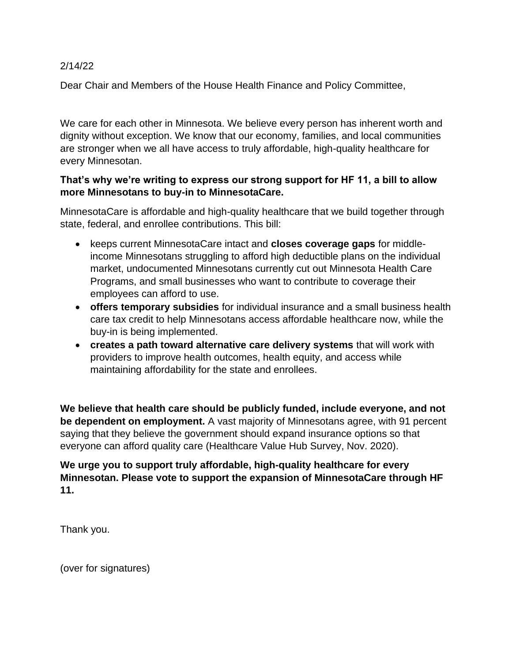## 2/14/22

Dear Chair and Members of the House Health Finance and Policy Committee,

We care for each other in Minnesota. We believe every person has inherent worth and dignity without exception. We know that our economy, families, and local communities are stronger when we all have access to truly affordable, high-quality healthcare for every Minnesotan.

## **That's why we're writing to express our strong support for HF 11, a bill to allow more Minnesotans to buy-in to MinnesotaCare.**

MinnesotaCare is affordable and high-quality healthcare that we build together through state, federal, and enrollee contributions. This bill:

- keeps current MinnesotaCare intact and **closes coverage gaps** for middleincome Minnesotans struggling to afford high deductible plans on the individual market, undocumented Minnesotans currently cut out Minnesota Health Care Programs, and small businesses who want to contribute to coverage their employees can afford to use.
- **offers temporary subsidies** for individual insurance and a small business health care tax credit to help Minnesotans access affordable healthcare now, while the buy-in is being implemented.
- **creates a path toward alternative care delivery systems** that will work with providers to improve health outcomes, health equity, and access while maintaining affordability for the state and enrollees.

**We believe that health care should be publicly funded, include everyone, and not be dependent on employment.** A vast majority of Minnesotans agree, with 91 percent saying that they believe the government should expand insurance options so that everyone can afford quality care (Healthcare Value Hub Survey, Nov. 2020).

**We urge you to support truly affordable, high-quality healthcare for every Minnesotan. Please vote to support the expansion of MinnesotaCare through HF 11.**

Thank you.

(over for signatures)